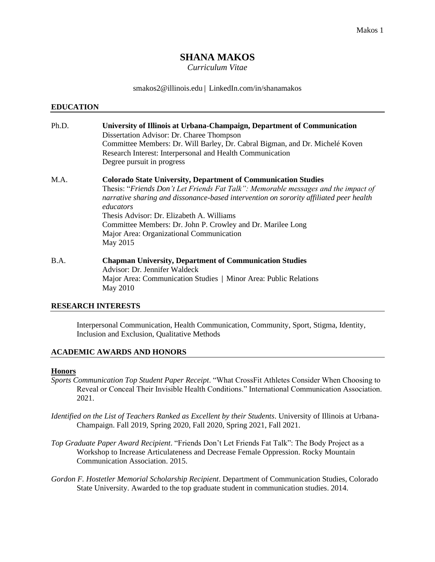# **SHANA MAKOS**

*Curriculum Vitae*

smakos2@illinois.edu| LinkedIn.com/in/shanamakos

#### **EDUCATION**

| Ph.D. | University of Illinois at Urbana-Champaign, Department of Communication<br>Dissertation Advisor: Dr. Charee Thompson<br>Committee Members: Dr. Will Barley, Dr. Cabral Bigman, and Dr. Michelé Koven<br>Research Interest: Interpersonal and Health Communication<br>Degree pursuit in progress |
|-------|-------------------------------------------------------------------------------------------------------------------------------------------------------------------------------------------------------------------------------------------------------------------------------------------------|
| M.A.  | <b>Colorado State University, Department of Communication Studies</b><br>Thesis: "Friends Don't Let Friends Fat Talk": Memorable messages and the impact of                                                                                                                                     |

*narrative sharing and dissonance-based intervention on sorority affiliated peer health educators* Thesis Advisor: Dr. Elizabeth A. Williams Committee Members: Dr. John P. Crowley and Dr. Marilee Long Major Area: Organizational Communication May 2015

B.A. **Chapman University, Department of Communication Studies** Advisor: Dr. Jennifer Waldeck Major Area: Communication Studies | Minor Area: Public Relations May 2010

#### **RESEARCH INTERESTS**

Interpersonal Communication, Health Communication, Community, Sport, Stigma, Identity, Inclusion and Exclusion, Qualitative Methods

## **ACADEMIC AWARDS AND HONORS**

#### **Honors**

- *Sports Communication Top Student Paper Receipt*. "What CrossFit Athletes Consider When Choosing to Reveal or Conceal Their Invisible Health Conditions." International Communication Association. 2021.
- *Identified on the List of Teachers Ranked as Excellent by their Students*. University of Illinois at Urbana-Champaign. Fall 2019, Spring 2020, Fall 2020, Spring 2021, Fall 2021.
- *Top Graduate Paper Award Recipient*. "Friends Don't Let Friends Fat Talk": The Body Project as a Workshop to Increase Articulateness and Decrease Female Oppression. Rocky Mountain Communication Association. 2015.
- *Gordon F. Hostetler Memorial Scholarship Recipient*. Department of Communication Studies, Colorado State University. Awarded to the top graduate student in communication studies. 2014.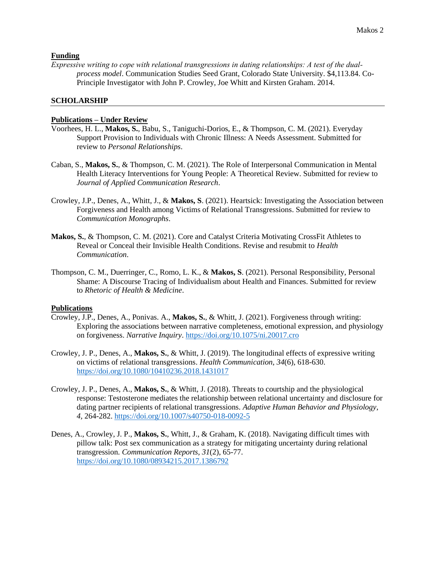### **Funding**

*Expressive writing to cope with relational transgressions in dating relationships: A test of the dual‐ process model*. Communication Studies Seed Grant, Colorado State University. \$4,113.84. Co-Principle Investigator with John P. Crowley, Joe Whitt and Kirsten Graham. 2014.

### **SCHOLARSHIP**

### **Publications – Under Review**

- Voorhees, H. L., **Makos, S.**, Babu, S., Taniguchi-Dorios, E., & Thompson, C. M. (2021). Everyday Support Provision to Individuals with Chronic Illness: A Needs Assessment. Submitted for review to *Personal Relationships*.
- Caban, S., **Makos, S.**, & Thompson, C. M. (2021). The Role of Interpersonal Communication in Mental Health Literacy Interventions for Young People: A Theoretical Review. Submitted for review to *Journal of Applied Communication Research*.
- Crowley, J.P., Denes, A., Whitt, J., & **Makos, S**. (2021). Heartsick: Investigating the Association between Forgiveness and Health among Victims of Relational Transgressions. Submitted for review to *Communication Monographs*.
- **Makos, S.**, & Thompson, C. M. (2021). Core and Catalyst Criteria Motivating CrossFit Athletes to Reveal or Conceal their Invisible Health Conditions. Revise and resubmit to *Health Communication*.
- Thompson, C. M., Duerringer, C., Romo, L. K., & **Makos, S**. (2021). Personal Responsibility, Personal Shame: A Discourse Tracing of Individualism about Health and Finances. Submitted for review to *Rhetoric of Health & Medicine*.

### **Publications**

- Crowley, J.P., Denes, A., Ponivas. A., **Makos, S.**, & Whitt, J. (2021). Forgiveness through writing: Exploring the associations between narrative completeness, emotional expression, and physiology on forgiveness. *Narrative Inquiry*.<https://doi.org/10.1075/ni.20017.cro>
- Crowley, J. P., Denes, A., **Makos, S.**, & Whitt, J. (2019). The longitudinal effects of expressive writing on victims of relational transgressions. *Health Communication*, *34*(6), 618-630. <https://doi.org/10.1080/10410236.2018.1431017>
- Crowley, J. P., Denes, A., **Makos, S.**, & Whitt, J. (2018). Threats to courtship and the physiological response: Testosterone mediates the relationship between relational uncertainty and disclosure for dating partner recipients of relational transgressions. *Adaptive Human Behavior and Physiology*, *4,* 264-282.<https://doi.org/10.1007/s40750-018-0092-5>
- Denes, A., Crowley, J. P., **Makos, S.**, Whitt, J., & Graham, K. (2018). Navigating difficult times with pillow talk: Post sex communication as a strategy for mitigating uncertainty during relational transgression. *Communication Reports, 31*(2), 65-77. <https://doi.org/10.1080/08934215.2017.1386792>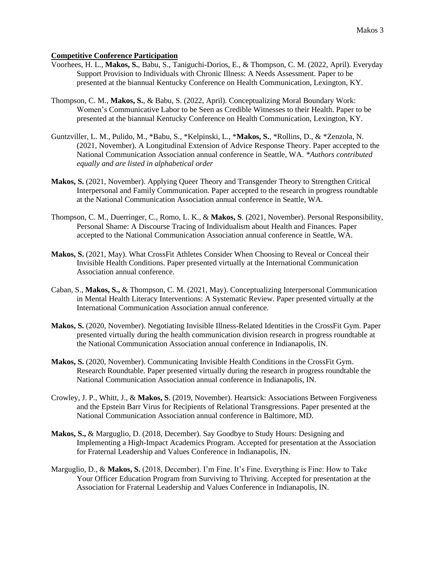## **Competitive Conference Participation**

- Voorhees, H. L., **Makos, S.**, Babu, S., Taniguchi-Dorios, E., & Thompson, C. M. (2022, April). Everyday Support Provision to Individuals with Chronic Illness: A Needs Assessment. Paper to be presented at the biannual Kentucky Conference on Health Communication, Lexington, KY.
- Thompson, C. M., **Makos, S.**, & Babu, S. (2022, April). Conceptualizing Moral Boundary Work: Women's Communicative Labor to be Seen as Credible Witnesses to their Health. Paper to be presented at the biannual Kentucky Conference on Health Communication, Lexington, KY.
- Guntzviller, L. M., Pulido, M., \*Babu, S., \*Kelpinski, L., \***Makos, S.**, \*Rollins, D., & \*Zenzola, N. (2021, November). A Longitudinal Extension of Advice Response Theory. Paper accepted to the National Communication Association annual conference in Seattle, WA. *\*Authors contributed equally and are listed in alphabetical order*
- **Makos, S.** (2021, November). Applying Queer Theory and Transgender Theory to Strengthen Critical Interpersonal and Family Communication. Paper accepted to the research in progress roundtable at the National Communication Association annual conference in Seattle, WA.
- Thompson, C. M., Duerringer, C., Romo, L. K., & **Makos, S**. (2021, November). Personal Responsibility, Personal Shame: A Discourse Tracing of Individualism about Health and Finances. Paper accepted to the National Communication Association annual conference in Seattle, WA.
- **Makos, S.** (2021, May). What CrossFit Athletes Consider When Choosing to Reveal or Conceal their Invisible Health Conditions. Paper presented virtually at the International Communication Association annual conference.
- Caban, S., **Makos, S.,** & Thompson, C. M. (2021, May). Conceptualizing Interpersonal Communication in Mental Health Literacy Interventions: A Systematic Review. Paper presented virtually at the International Communication Association annual conference.
- **Makos, S.** (2020, November). Negotiating Invisible Illness-Related Identities in the CrossFit Gym. Paper presented virtually during the health communication division research in progress roundtable at the National Communication Association annual conference in Indianapolis, IN.
- **Makos, S.** (2020, November). Communicating Invisible Health Conditions in the CrossFit Gym. Research Roundtable. Paper presented virtually during the research in progress roundtable the National Communication Association annual conference in Indianapolis, IN.
- Crowley, J. P., Whitt, J., & **Makos, S**. (2019, November). Heartsick: Associations Between Forgiveness and the Epstein Barr Virus for Recipients of Relational Transgressions. Paper presented at the National Communication Association annual conference in Baltimore, MD.
- **Makos, S.,** & Marguglio, D. (2018, December). Say Goodbye to Study Hours: Designing and Implementing a High-Impact Academics Program. Accepted for presentation at the Association for Fraternal Leadership and Values Conference in Indianapolis, IN.
- Marguglio, D., & **Makos, S.** (2018, December). I'm Fine. It's Fine. Everything is Fine: How to Take Your Officer Education Program from Surviving to Thriving. Accepted for presentation at the Association for Fraternal Leadership and Values Conference in Indianapolis, IN.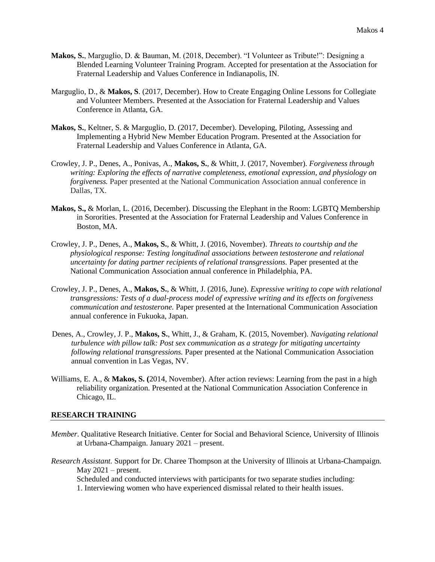- **Makos, S.**, Marguglio, D. & Bauman, M. (2018, December). "I Volunteer as Tribute!": Designing a Blended Learning Volunteer Training Program. Accepted for presentation at the Association for Fraternal Leadership and Values Conference in Indianapolis, IN.
- Marguglio, D., & **Makos, S**. (2017, December). How to Create Engaging Online Lessons for Collegiate and Volunteer Members. Presented at the Association for Fraternal Leadership and Values Conference in Atlanta, GA.
- **Makos, S.**, Keltner, S. & Marguglio, D. (2017, December). Developing, Piloting, Assessing and Implementing a Hybrid New Member Education Program. Presented at the Association for Fraternal Leadership and Values Conference in Atlanta, GA.
- Crowley, J. P., Denes, A., Ponivas, A., **Makos, S.**, & Whitt, J. (2017, November). *Forgiveness through writing: Exploring the effects of narrative completeness, emotional expression, and physiology on forgiveness.* Paper presented at the National Communication Association annual conference in Dallas, TX.
- **Makos, S.,** & Morlan, L. (2016, December). Discussing the Elephant in the Room: LGBTQ Membership in Sororities. Presented at the Association for Fraternal Leadership and Values Conference in Boston, MA.
- Crowley, J. P., Denes, A., **Makos, S.**, & Whitt, J. (2016, November). *Threats to courtship and the physiological response: Testing longitudinal associations between testosterone and relational uncertainty for dating partner recipients of relational transgressions.* Paper presented at the National Communication Association annual conference in Philadelphia, PA.
- Crowley, J. P., Denes, A., **Makos, S.**, & Whitt, J. (2016, June). *Expressive writing to cope with relational transgressions: Tests of a dual-process model of expressive writing and its effects on forgiveness communication and testosterone.* Paper presented at the International Communication Association annual conference in Fukuoka, Japan.
- Denes, A., Crowley, J. P., **Makos, S.**, Whitt, J., & Graham, K. (2015, November). *Navigating relational turbulence with pillow talk: Post sex communication as a strategy for mitigating uncertainty following relational transgressions.* Paper presented at the National Communication Association annual convention in Las Vegas, NV.
- Williams, E. A., & **Makos, S. (**2014, November). After action reviews: Learning from the past in a high reliability organization. Presented at the National Communication Association Conference in Chicago, IL.

#### **RESEARCH TRAINING**

- *Member*. Qualitative Research Initiative. Center for Social and Behavioral Science, University of Illinois at Urbana-Champaign. January 2021 – present.
- *Research Assistant.* Support for Dr. Charee Thompson at the University of Illinois at Urbana-Champaign. May  $2021$  – present.

Scheduled and conducted interviews with participants for two separate studies including: 1. Interviewing women who have experienced dismissal related to their health issues.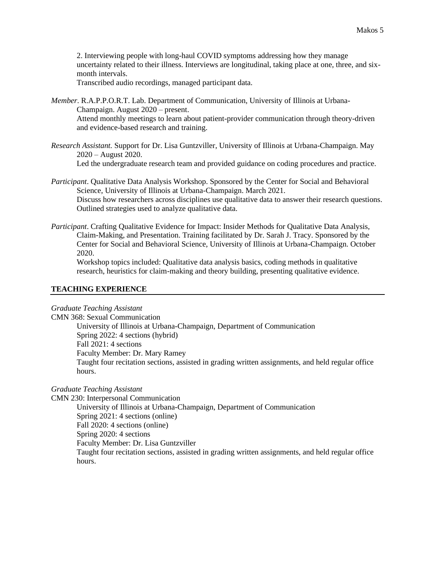2. Interviewing people with long-haul COVID symptoms addressing how they manage uncertainty related to their illness. Interviews are longitudinal, taking place at one, three, and sixmonth intervals.

Transcribed audio recordings, managed participant data.

*Member*. R.A.P.P.O.R.T. Lab. Department of Communication, University of Illinois at Urbana-Champaign. August 2020 – present.

Attend monthly meetings to learn about patient-provider communication through theory-driven and evidence-based research and training.

*Research Assistant.* Support for Dr. Lisa Guntzviller, University of Illinois at Urbana-Champaign. May 2020 – August 2020.

Led the undergraduate research team and provided guidance on coding procedures and practice.

*Participant*. Qualitative Data Analysis Workshop. Sponsored by the Center for Social and Behavioral Science, University of Illinois at Urbana-Champaign. March 2021. Discuss how researchers across disciplines use qualitative data to answer their research questions. Outlined strategies used to analyze qualitative data.

*Participant*. Crafting Qualitative Evidence for Impact: Insider Methods for Qualitative Data Analysis, Claim-Making, and Presentation. Training facilitated by Dr. Sarah J. Tracy. Sponsored by the Center for Social and Behavioral Science, University of Illinois at Urbana-Champaign. October 2020.

Workshop topics included: Qualitative data analysis basics, coding methods in qualitative research, heuristics for claim-making and theory building, presenting qualitative evidence.

## **TEACHING EXPERIENCE**

*Graduate Teaching Assistant*

CMN 368: Sexual Communication University of Illinois at Urbana-Champaign, Department of Communication Spring 2022: 4 sections (hybrid) Fall 2021: 4 sections Faculty Member: Dr. Mary Ramey Taught four recitation sections, assisted in grading written assignments, and held regular office hours.

### *Graduate Teaching Assistant*

CMN 230: Interpersonal Communication

University of Illinois at Urbana-Champaign, Department of Communication Spring 2021: 4 sections (online) Fall 2020: 4 sections (online) Spring 2020: 4 sections Faculty Member: Dr. Lisa Guntzviller Taught four recitation sections, assisted in grading written assignments, and held regular office hours.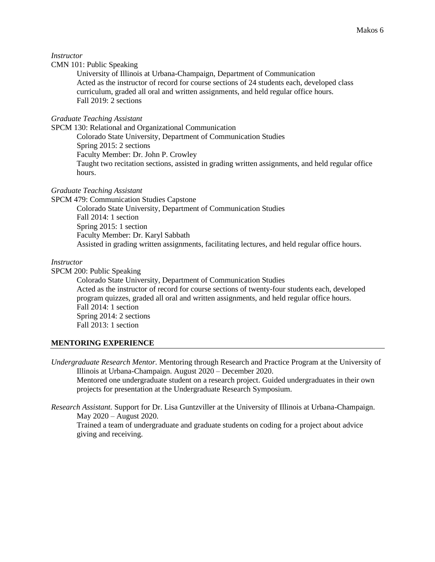#### *Instructor*

### CMN 101: Public Speaking

University of Illinois at Urbana-Champaign, Department of Communication Acted as the instructor of record for course sections of 24 students each, developed class curriculum, graded all oral and written assignments, and held regular office hours. Fall 2019: 2 sections

### *Graduate Teaching Assistant*

SPCM 130: Relational and Organizational Communication Colorado State University, Department of Communication Studies Spring 2015: 2 sections Faculty Member: Dr. John P. Crowley Taught two recitation sections, assisted in grading written assignments, and held regular office hours.

### *Graduate Teaching Assistant*

SPCM 479: Communication Studies Capstone

Colorado State University, Department of Communication Studies Fall 2014: 1 section Spring 2015: 1 section Faculty Member: Dr. Karyl Sabbath Assisted in grading written assignments, facilitating lectures, and held regular office hours.

### *Instructor*

SPCM 200: Public Speaking

Colorado State University, Department of Communication Studies Acted as the instructor of record for course sections of twenty-four students each, developed program quizzes, graded all oral and written assignments, and held regular office hours. Fall 2014: 1 section Spring 2014: 2 sections Fall 2013: 1 section

### **MENTORING EXPERIENCE**

*Undergraduate Research Mentor.* Mentoring through Research and Practice Program at the University of Illinois at Urbana-Champaign. August 2020 – December 2020. Mentored one undergraduate student on a research project. Guided undergraduates in their own projects for presentation at the Undergraduate Research Symposium.

*Research Assistant.* Support for Dr. Lisa Guntzviller at the University of Illinois at Urbana-Champaign. May 2020 – August 2020.

Trained a team of undergraduate and graduate students on coding for a project about advice giving and receiving.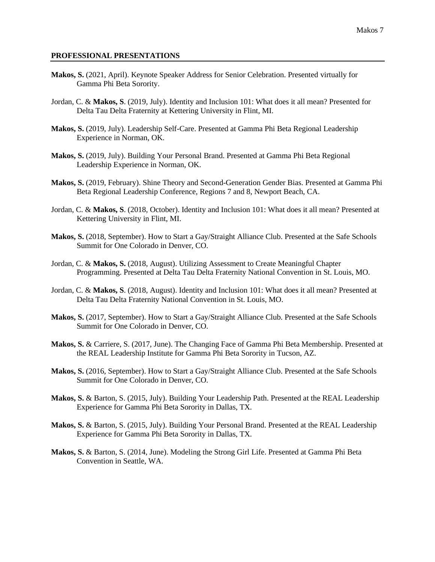#### **PROFESSIONAL PRESENTATIONS**

- **Makos, S.** (2021, April). Keynote Speaker Address for Senior Celebration. Presented virtually for Gamma Phi Beta Sorority.
- Jordan, C. & **Makos, S**. (2019, July). Identity and Inclusion 101: What does it all mean? Presented for Delta Tau Delta Fraternity at Kettering University in Flint, MI.
- **Makos, S.** (2019, July). Leadership Self-Care. Presented at Gamma Phi Beta Regional Leadership Experience in Norman, OK.
- **Makos, S.** (2019, July). Building Your Personal Brand. Presented at Gamma Phi Beta Regional Leadership Experience in Norman, OK.
- **Makos, S.** (2019, February). Shine Theory and Second-Generation Gender Bias. Presented at Gamma Phi Beta Regional Leadership Conference, Regions 7 and 8, Newport Beach, CA.
- Jordan, C. & **Makos, S**. (2018, October). Identity and Inclusion 101: What does it all mean? Presented at Kettering University in Flint, MI.
- **Makos, S.** (2018, September). How to Start a Gay/Straight Alliance Club. Presented at the Safe Schools Summit for One Colorado in Denver, CO.
- Jordan, C. & **Makos, S.** (2018, August). Utilizing Assessment to Create Meaningful Chapter Programming. Presented at Delta Tau Delta Fraternity National Convention in St. Louis, MO.
- Jordan, C. & **Makos, S**. (2018, August). Identity and Inclusion 101: What does it all mean? Presented at Delta Tau Delta Fraternity National Convention in St. Louis, MO.
- **Makos, S.** (2017, September). How to Start a Gay/Straight Alliance Club. Presented at the Safe Schools Summit for One Colorado in Denver, CO.
- **Makos, S.** & Carriere, S. (2017, June). The Changing Face of Gamma Phi Beta Membership. Presented at the REAL Leadership Institute for Gamma Phi Beta Sorority in Tucson, AZ.
- **Makos, S.** (2016, September). How to Start a Gay/Straight Alliance Club. Presented at the Safe Schools Summit for One Colorado in Denver, CO.
- **Makos, S.** & Barton, S. (2015, July). Building Your Leadership Path. Presented at the REAL Leadership Experience for Gamma Phi Beta Sorority in Dallas, TX.
- **Makos, S.** & Barton, S. (2015, July). Building Your Personal Brand. Presented at the REAL Leadership Experience for Gamma Phi Beta Sorority in Dallas, TX.
- **Makos, S.** & Barton, S. (2014, June). Modeling the Strong Girl Life. Presented at Gamma Phi Beta Convention in Seattle, WA.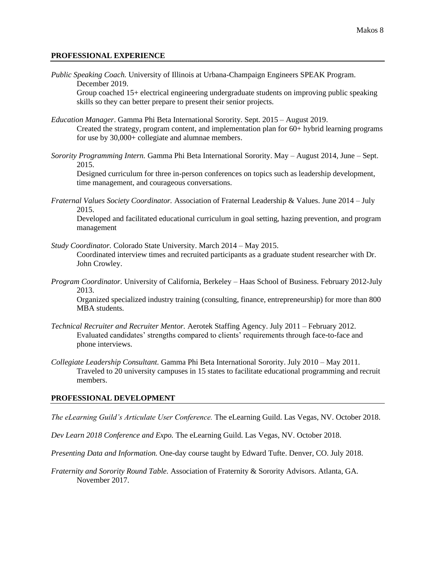#### **PROFESSIONAL EXPERIENCE**

*Public Speaking Coach.* University of Illinois at Urbana-Champaign Engineers SPEAK Program. December 2019.

Group coached 15+ electrical engineering undergraduate students on improving public speaking skills so they can better prepare to present their senior projects.

- *Education Manager*. Gamma Phi Beta International Sorority. Sept. 2015 August 2019. Created the strategy, program content, and implementation plan for 60+ hybrid learning programs for use by 30,000+ collegiate and alumnae members.
- *Sorority Programming Intern.* Gamma Phi Beta International Sorority. May August 2014, June Sept. 2015.

Designed curriculum for three in-person conferences on topics such as leadership development, time management, and courageous conversations.

*Fraternal Values Society Coordinator.* Association of Fraternal Leadership & Values. June 2014 – July 2015.

Developed and facilitated educational curriculum in goal setting, hazing prevention, and program management

- *Study Coordinator.* Colorado State University. March 2014 May 2015. Coordinated interview times and recruited participants as a graduate student researcher with Dr. John Crowley.
- *Program Coordinator.* University of California, Berkeley Haas School of Business. February 2012-July 2013.

Organized specialized industry training (consulting, finance, entrepreneurship) for more than 800 MBA students.

- *Technical Recruiter and Recruiter Mentor.* Aerotek Staffing Agency. July 2011 February 2012. Evaluated candidates' strengths compared to clients' requirements through face-to-face and phone interviews.
- *Collegiate Leadership Consultant.* Gamma Phi Beta International Sorority. July 2010 May 2011. Traveled to 20 university campuses in 15 states to facilitate educational programming and recruit members.

### **PROFESSIONAL DEVELOPMENT**

*The eLearning Guild's Articulate User Conference.* The eLearning Guild. Las Vegas, NV. October 2018.

*Dev Learn 2018 Conference and Expo.* The eLearning Guild. Las Vegas, NV. October 2018.

*Presenting Data and Information.* One-day course taught by Edward Tufte. Denver, CO. July 2018.

*Fraternity and Sorority Round Table.* Association of Fraternity & Sorority Advisors. Atlanta, GA. November 2017.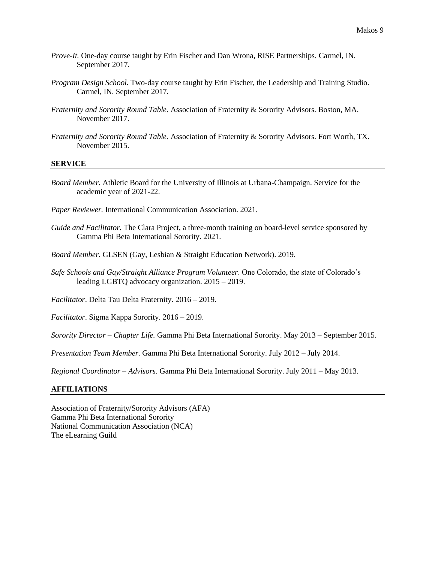- *Prove-It.* One-day course taught by Erin Fischer and Dan Wrona, RISE Partnerships. Carmel, IN. September 2017.
- *Program Design School.* Two-day course taught by Erin Fischer, the Leadership and Training Studio. Carmel, IN. September 2017.
- *Fraternity and Sorority Round Table.* Association of Fraternity & Sorority Advisors. Boston, MA. November 2017.
- *Fraternity and Sorority Round Table.* Association of Fraternity & Sorority Advisors. Fort Worth, TX. November 2015.

### **SERVICE**

- *Board Member.* Athletic Board for the University of Illinois at Urbana-Champaign. Service for the academic year of 2021-22.
- *Paper Reviewer.* International Communication Association. 2021.
- *Guide and Facilitator.* The Clara Project, a three-month training on board-level service sponsored by Gamma Phi Beta International Sorority. 2021.
- *Board Member.* GLSEN (Gay, Lesbian & Straight Education Network). 2019.
- *Safe Schools and Gay/Straight Alliance Program Volunteer*. One Colorado, the state of Colorado's leading LGBTQ advocacy organization. 2015 – 2019.
- *Facilitator*. Delta Tau Delta Fraternity. 2016 2019.

*Facilitator*. Sigma Kappa Sorority. 2016 – 2019.

*Sorority Director – Chapter Life.* Gamma Phi Beta International Sorority. May 2013 – September 2015.

*Presentation Team Member*. Gamma Phi Beta International Sorority. July 2012 – July 2014.

*Regional Coordinator – Advisors.* Gamma Phi Beta International Sorority. July 2011 – May 2013.

#### **AFFILIATIONS**

Association of Fraternity/Sorority Advisors (AFA) Gamma Phi Beta International Sorority National Communication Association (NCA) The eLearning Guild